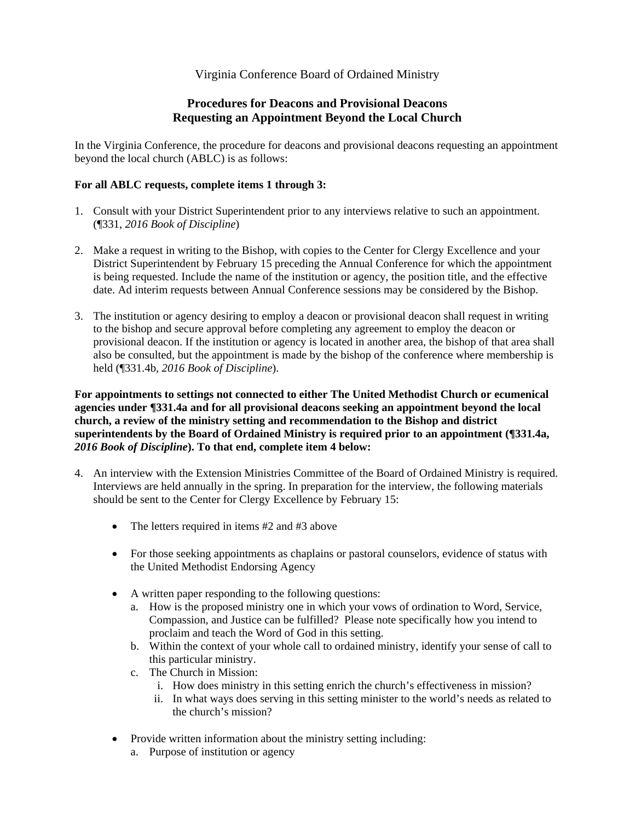## Virginia Conference Board of Ordained Ministry

## **Procedures for Deacons and Provisional Deacons Requesting an Appointment Beyond the Local Church**

In the Virginia Conference, the procedure for deacons and provisional deacons requesting an appointment beyond the local church (ABLC) is as follows:

## **For all ABLC requests, complete items 1 through 3:**

- 1. Consult with your District Superintendent prior to any interviews relative to such an appointment. (¶331, *2016 Book of Discipline*)
- 2. Make a request in writing to the Bishop, with copies to the Center for Clergy Excellence and your District Superintendent by February 15 preceding the Annual Conference for which the appointment is being requested. Include the name of the institution or agency, the position title, and the effective date. Ad interim requests between Annual Conference sessions may be considered by the Bishop.
- 3. The institution or agency desiring to employ a deacon or provisional deacon shall request in writing to the bishop and secure approval before completing any agreement to employ the deacon or provisional deacon. If the institution or agency is located in another area, the bishop of that area shall also be consulted, but the appointment is made by the bishop of the conference where membership is held (¶331.4b, *2016 Book of Discipline*).

**For appointments to settings not connected to either The United Methodist Church or ecumenical agencies under ¶331.4a and for all provisional deacons seeking an appointment beyond the local church, a review of the ministry setting and recommendation to the Bishop and district superintendents by the Board of Ordained Ministry is required prior to an appointment (¶331.4a,**  *2016 Book of Discipline***). To that end, complete item 4 below:** 

- 4. An interview with the Extension Ministries Committee of the Board of Ordained Ministry is required. Interviews are held annually in the spring. In preparation for the interview, the following materials should be sent to the Center for Clergy Excellence by February 15:
	- The letters required in items #2 and #3 above
	- For those seeking appointments as chaplains or pastoral counselors, evidence of status with the United Methodist Endorsing Agency
	- A written paper responding to the following questions:
		- a. How is the proposed ministry one in which your vows of ordination to Word, Service, Compassion, and Justice can be fulfilled? Please note specifically how you intend to proclaim and teach the Word of God in this setting.
		- b. Within the context of your whole call to ordained ministry, identify your sense of call to this particular ministry.
		- c. The Church in Mission:
			- i. How does ministry in this setting enrich the church's effectiveness in mission?
			- ii. In what ways does serving in this setting minister to the world's needs as related to the church's mission?
	- Provide written information about the ministry setting including:
		- a. Purpose of institution or agency